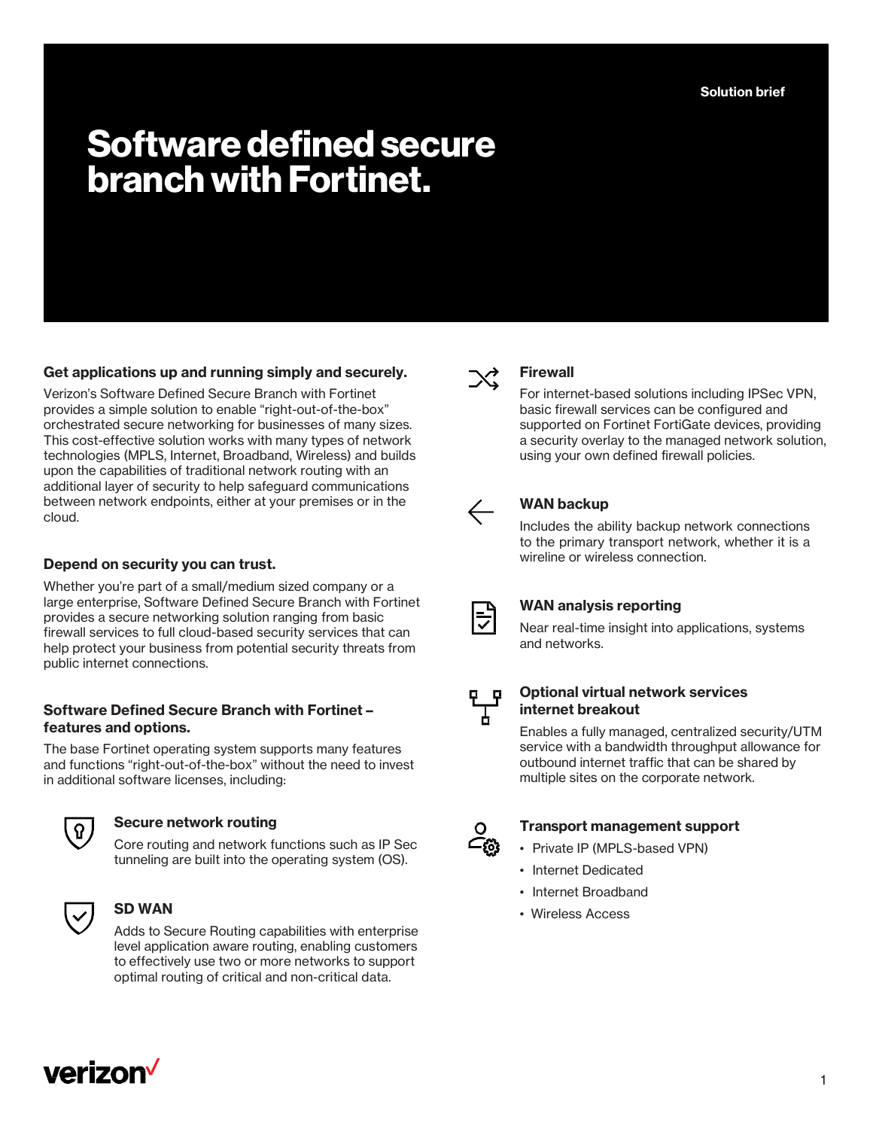**Solution brief**

# **Software defined secure branch with Fortinet.**

# **Get applications up and running simply and securely.**

Verizon's Software Defined Secure Branch with Fortinet provides a simple solution to enable "right-out-of-the-box" orchestrated secure networking for businesses of many sizes. This cost-effective solution works with many types of network technologies (MPLS, Internet, Broadband, Wireless) and builds upon the capabilities of traditional network routing with an additional layer of security to help safeguard communications between network endpoints, either at your premises or in the cloud.

## **Depend on security you can trust.**

Whether you're part of a small/medium sized company or a large enterprise, Software Defined Secure Branch with Fortinet provides a secure networking solution ranging from basic firewall services to full cloud-based security services that can help protect your business from potential security threats from public internet connections.

### **Software Defined Secure Branch with Fortinet – features and options.**

The base Fortinet operating system supports many features and functions "right-out-of-the-box" without the need to invest in additional software licenses, including:



### **Secure network routing**

Core routing and network functions such as IP Sec tunneling are built into the operating system (OS).



### **SD WAN**

Adds to Secure Routing capabilities with enterprise level application aware routing, enabling customers to effectively use two or more networks to support optimal routing of critical and non-critical data.



## **Firewall**

For internet-based solutions including IPSec VPN, basic firewall services can be configured and supported on Fortinet FortiGate devices, providing a security overlay to the managed network solution, using your own defined firewall policies.



# **WAN backup**

Includes the ability backup network connections to the primary transport network, whether it is a wireline or wireless connection.



### **WAN analysis reporting**

Near real-time insight into applications, systems and networks.



#### **Optional virtual network services internet breakout**

Enables a fully managed, centralized security/UTM service with a bandwidth throughput allowance for outbound internet traffic that can be shared by multiple sites on the corporate network.



#### **Transport management support**

- Private IP (MPLS-based VPN)
- Internet Dedicated
- Internet Broadband
- Wireless Access

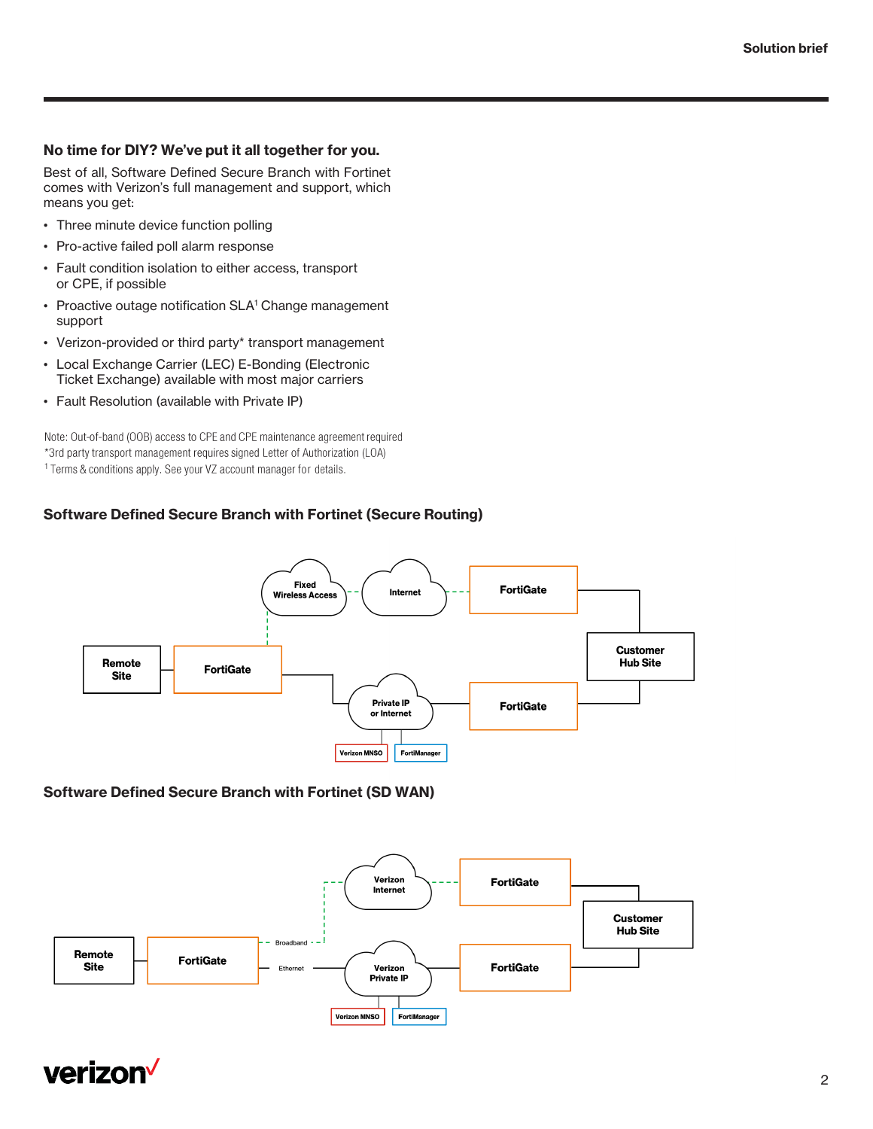# **No time for DIY? We've put it all together for you.**

Best of all, Software Defined Secure Branch with Fortinet comes with Verizon's full management and support, which means you get:

- Three minute device function polling
- Pro-active failed poll alarm response
- Fault condition isolation to either access, transport or CPE, if possible
- Proactive outage notification SLA<sup>1</sup> Change management support
- Verizon-provided or third party\* transport management
- Local Exchange Carrier (LEC) E-Bonding (Electronic Ticket Exchange) available with most major carriers
- Fault Resolution (available with Private IP)

Note: Out-of-band (OOB) access to CPE and CPE maintenance agreement required \*3rd party transport management requires signed Letter of Authorization (LOA) <sup>1</sup> Terms & conditions apply. See your VZ account manager for details.

# **Software Defined Secure Branch with Fortinet (Secure Routing)**



## **Software Defined Secure Branch with Fortinet (SD WAN)**